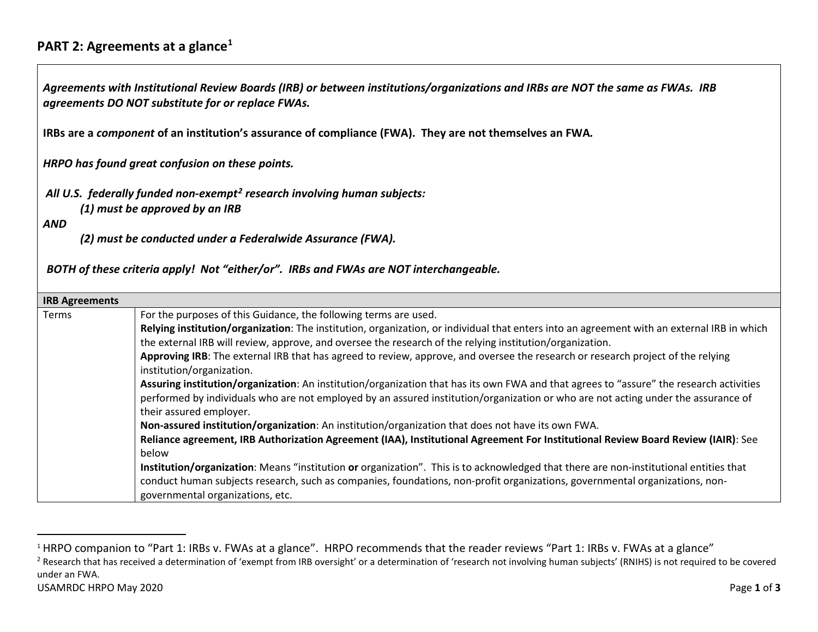## <span id="page-0-1"></span><span id="page-0-0"></span>**PART 2: Agreements at a glance[1](#page-0-0)**

*Agreements with Institutional Review Boards (IRB) or between institutions/organizations and IRBs are NOT the same as FWAs. IRB agreements DO NOT substitute for or replace FWAs.*

**IRBs are a** *component* **of an institution's assurance of compliance (FWA). They are not themselves an FWA***.*

*HRPO has found great confusion on these points.*

*All U.S. federally funded non-exempt[2](#page-0-1) research involving human subjects:*

*(1) must be approved by an IRB* 

*AND*

*(2) must be conducted under a Federalwide Assurance (FWA).*

*BOTH of these criteria apply! Not "either/or". IRBs and FWAs are NOT interchangeable.* 

| <b>IRB Agreements</b><br>Terms | For the purposes of this Guidance, the following terms are used.<br>Relying institution/organization: The institution, organization, or individual that enters into an agreement with an external IRB in which<br>the external IRB will review, approve, and oversee the research of the relying institution/organization.<br>Approving IRB: The external IRB that has agreed to review, approve, and oversee the research or research project of the relying<br>institution/organization.<br>Assuring institution/organization: An institution/organization that has its own FWA and that agrees to "assure" the research activities<br>performed by individuals who are not employed by an assured institution/organization or who are not acting under the assurance of<br>their assured employer.<br>Non-assured institution/organization: An institution/organization that does not have its own FWA. |
|--------------------------------|------------------------------------------------------------------------------------------------------------------------------------------------------------------------------------------------------------------------------------------------------------------------------------------------------------------------------------------------------------------------------------------------------------------------------------------------------------------------------------------------------------------------------------------------------------------------------------------------------------------------------------------------------------------------------------------------------------------------------------------------------------------------------------------------------------------------------------------------------------------------------------------------------------|
|                                | Reliance agreement, IRB Authorization Agreement (IAA), Institutional Agreement For Institutional Review Board Review (IAIR): See<br>below                                                                                                                                                                                                                                                                                                                                                                                                                                                                                                                                                                                                                                                                                                                                                                  |
|                                | Institution/organization: Means "institution or organization". This is to acknowledged that there are non-institutional entities that<br>conduct human subjects research, such as companies, foundations, non-profit organizations, governmental organizations, non-<br>governmental organizations, etc.                                                                                                                                                                                                                                                                                                                                                                                                                                                                                                                                                                                                   |

<sup>2</sup> Research that has received a determination of 'exempt from IRB oversight' or a determination of 'research not involving human subjects' (RNIHS) is not required to be covered under an FWA.

 $\overline{a}$ 

<sup>&</sup>lt;sup>1</sup> HRPO companion to "Part 1: IRBs v. FWAs at a glance". HRPO recommends that the reader reviews "Part 1: IRBs v. FWAs at a glance"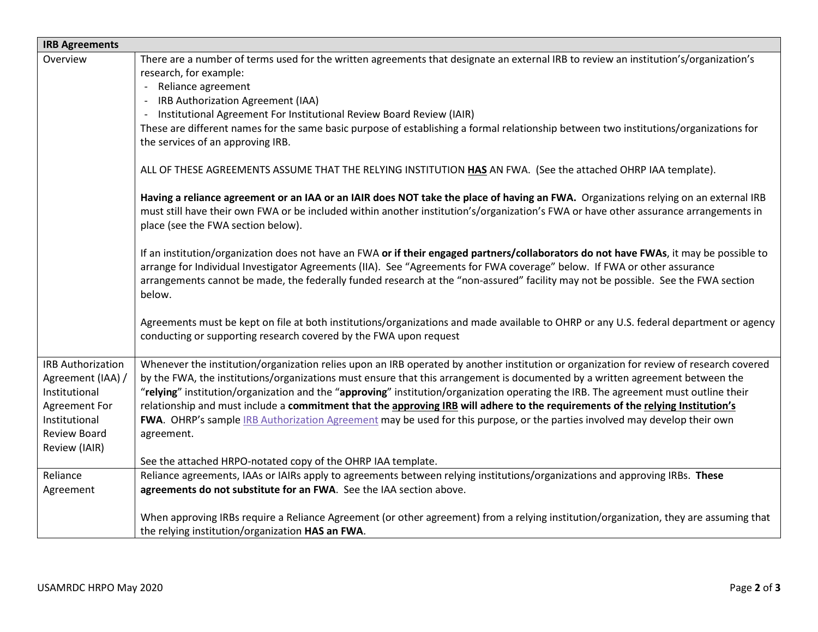| <b>IRB Agreements</b>    |                                                                                                                                                                                                                                                                                                                                                                                                                   |  |
|--------------------------|-------------------------------------------------------------------------------------------------------------------------------------------------------------------------------------------------------------------------------------------------------------------------------------------------------------------------------------------------------------------------------------------------------------------|--|
| Overview                 | There are a number of terms used for the written agreements that designate an external IRB to review an institution's/organization's<br>research, for example:                                                                                                                                                                                                                                                    |  |
|                          | - Reliance agreement                                                                                                                                                                                                                                                                                                                                                                                              |  |
|                          | IRB Authorization Agreement (IAA)                                                                                                                                                                                                                                                                                                                                                                                 |  |
|                          | Institutional Agreement For Institutional Review Board Review (IAIR)                                                                                                                                                                                                                                                                                                                                              |  |
|                          | These are different names for the same basic purpose of establishing a formal relationship between two institutions/organizations for<br>the services of an approving IRB.                                                                                                                                                                                                                                        |  |
|                          | ALL OF THESE AGREEMENTS ASSUME THAT THE RELYING INSTITUTION HAS AN FWA. (See the attached OHRP IAA template).                                                                                                                                                                                                                                                                                                     |  |
|                          | Having a reliance agreement or an IAA or an IAIR does NOT take the place of having an FWA. Organizations relying on an external IRB<br>must still have their own FWA or be included within another institution's/organization's FWA or have other assurance arrangements in<br>place (see the FWA section below).                                                                                                 |  |
|                          | If an institution/organization does not have an FWA or if their engaged partners/collaborators do not have FWAs, it may be possible to<br>arrange for Individual Investigator Agreements (IIA). See "Agreements for FWA coverage" below. If FWA or other assurance<br>arrangements cannot be made, the federally funded research at the "non-assured" facility may not be possible. See the FWA section<br>below. |  |
|                          | Agreements must be kept on file at both institutions/organizations and made available to OHRP or any U.S. federal department or agency<br>conducting or supporting research covered by the FWA upon request                                                                                                                                                                                                       |  |
| <b>IRB Authorization</b> | Whenever the institution/organization relies upon an IRB operated by another institution or organization for review of research covered                                                                                                                                                                                                                                                                           |  |
| Agreement (IAA) /        | by the FWA, the institutions/organizations must ensure that this arrangement is documented by a written agreement between the                                                                                                                                                                                                                                                                                     |  |
| Institutional            | "relying" institution/organization and the "approving" institution/organization operating the IRB. The agreement must outline their                                                                                                                                                                                                                                                                               |  |
| Agreement For            | relationship and must include a commitment that the approving IRB will adhere to the requirements of the relying Institution's                                                                                                                                                                                                                                                                                    |  |
| Institutional            | FWA. OHRP's sample IRB Authorization Agreement may be used for this purpose, or the parties involved may develop their own                                                                                                                                                                                                                                                                                        |  |
| Review Board             | agreement.                                                                                                                                                                                                                                                                                                                                                                                                        |  |
| Review (IAIR)            |                                                                                                                                                                                                                                                                                                                                                                                                                   |  |
|                          | See the attached HRPO-notated copy of the OHRP IAA template.                                                                                                                                                                                                                                                                                                                                                      |  |
| Reliance                 | Reliance agreements, IAAs or IAIRs apply to agreements between relying institutions/organizations and approving IRBs. These                                                                                                                                                                                                                                                                                       |  |
| Agreement                | agreements do not substitute for an FWA. See the IAA section above.                                                                                                                                                                                                                                                                                                                                               |  |
|                          | When approving IRBs require a Reliance Agreement (or other agreement) from a relying institution/organization, they are assuming that<br>the relying institution/organization HAS an FWA.                                                                                                                                                                                                                         |  |